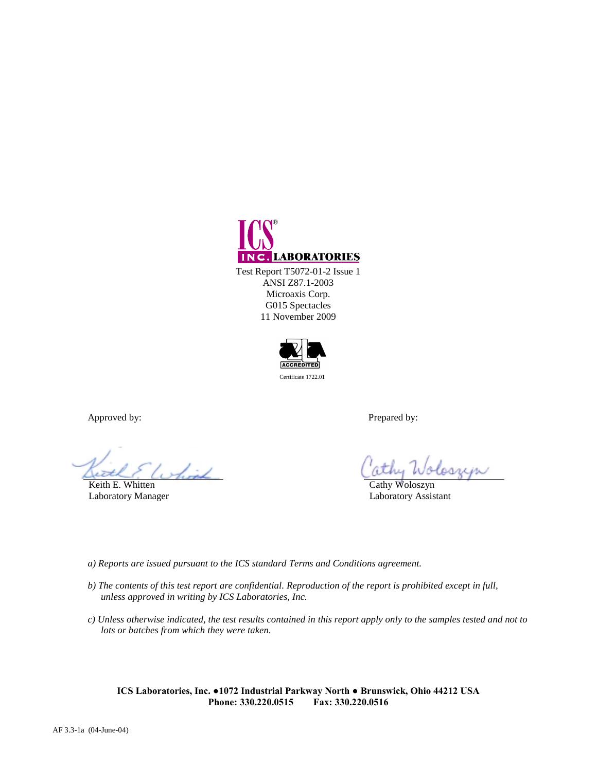

ANSI Z87.1-2003 Microaxis Corp. G015 Spectacles 11 November 2009



Approved by: Prepared by:

Keith E. Whitten Cathy Woloszyn

loari

Laboratory Manager Laboratory Assistant

*a) Reports are issued pursuant to the ICS standard Terms and Conditions agreement.*

- *b) The contents of this test report are confidential. Reproduction of the report is prohibited except in full, unless approved in writing by ICS Laboratories, Inc.*
- *c) Unless otherwise indicated, the test results contained in this report apply only to the samples tested and not to lots or batches from which they were taken.*

**ICS Laboratories, Inc. ●1072 Industrial Parkway North ● Brunswick, Ohio 44212 USA Phone: 330.220.0515 Fax: 330.220.0516**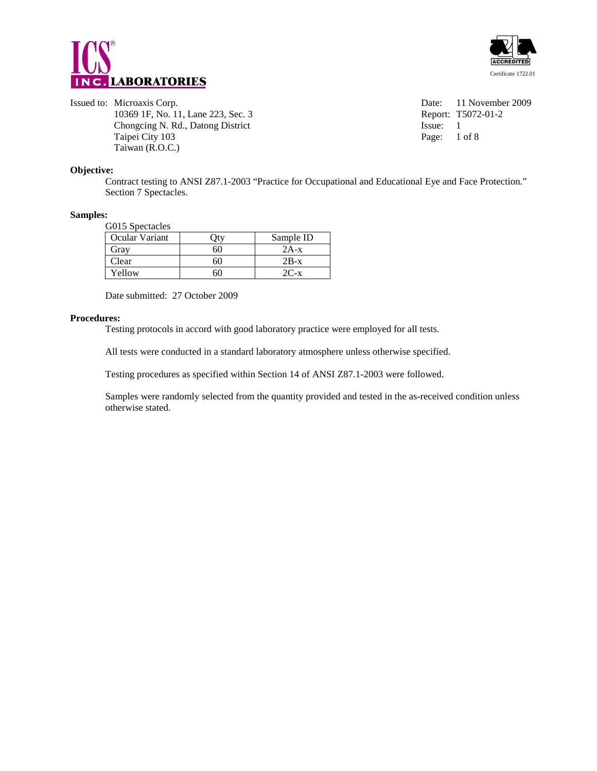



10369 1F, No. 11, Lane 223, Sec. 3 Chongcing N. Rd., Datong District Issue: 1 Taipei City 103 Page: 1 of 8 Taiwan (R.O.C.)

Issued to: Microaxis Corp.<br>
10369 1F, No. 11, Lane 223, Sec. 3<br>
Report: T5072-01-2

#### **Objective:**

Contract testing to ANSI Z87.1-2003 "Practice for Occupational and Educational Eye and Face Protection." Section 7 Spectacles.

#### **Samples:**

G015 Spectacles

| -------------- |    |           |  |  |  |
|----------------|----|-----------|--|--|--|
| Ocular Variant |    | Sample ID |  |  |  |
| Gray           | 60 | $2A-x$    |  |  |  |
| Clear          | 60 | $2B-x$    |  |  |  |
| Yellow         | hU | $2C-x$    |  |  |  |

Date submitted: 27 October 2009

#### **Procedures:**

Testing protocols in accord with good laboratory practice were employed for all tests.

All tests were conducted in a standard laboratory atmosphere unless otherwise specified.

Testing procedures as specified within Section 14 of ANSI Z87.1-2003 were followed.

Samples were randomly selected from the quantity provided and tested in the as-received condition unless otherwise stated.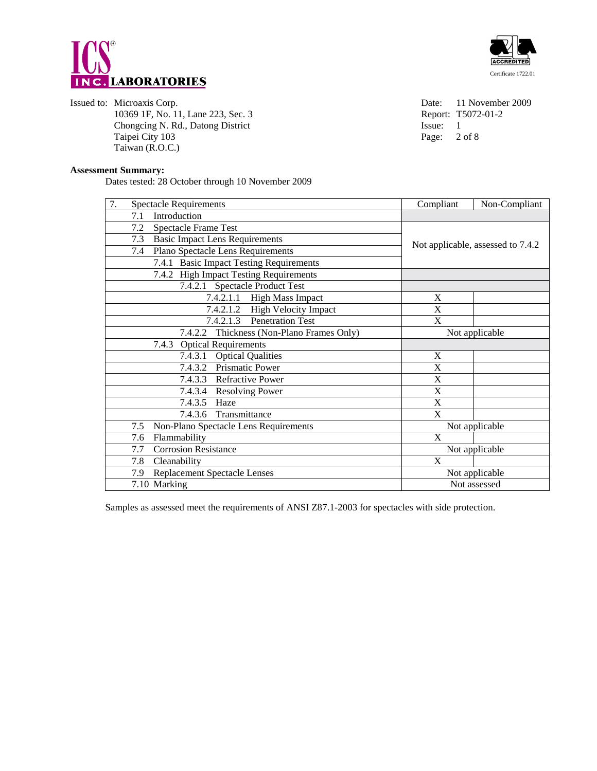



Issued to: Microaxis Corp.<br>
10369 1F, No. 11, Lane 223, Sec. 3<br>
10369 1F, No. 11, Lane 223, Sec. 3<br>
10369 1F, No. 11, Lane 223, Sec. 3 10369 1F, No. 11, Lane 223, Sec. 3 Chongcing N. Rd., Datong District Issue: 1 Taipei City 103 Page: 2 of 8 Taiwan (R.O.C.)

#### **Assessment Summary:**

Dates tested: 28 October through 10 November 2009

| 7.                                                          | <b>Spectacle Requirements</b>                | Compliant   | Non-Compliant                     |
|-------------------------------------------------------------|----------------------------------------------|-------------|-----------------------------------|
|                                                             | Introduction<br>7.1                          |             |                                   |
|                                                             | <b>Spectacle Frame Test</b><br>7.2           |             |                                   |
|                                                             | <b>Basic Impact Lens Requirements</b><br>7.3 |             |                                   |
|                                                             | Plano Spectacle Lens Requirements<br>7.4     |             | Not applicable, assessed to 7.4.2 |
|                                                             | 7.4.1 Basic Impact Testing Requirements      |             |                                   |
|                                                             | 7.4.2 High Impact Testing Requirements       |             |                                   |
|                                                             | 7.4.2.1 Spectacle Product Test               |             |                                   |
|                                                             | 7.4.2.1.1 High Mass Impact                   | X           |                                   |
|                                                             | 7.4.2.1.2 High Velocity Impact               | X           |                                   |
|                                                             | 7.4.2.1.3 Penetration Test                   | X           |                                   |
| 7.4.2.2 Thickness (Non-Plano Frames Only)<br>Not applicable |                                              |             |                                   |
|                                                             | 7.4.3 Optical Requirements                   |             |                                   |
|                                                             | 7.4.3.1 Optical Qualities                    | X           |                                   |
|                                                             | 7.4.3.2 Prismatic Power                      | X           |                                   |
|                                                             | 7.4.3.3 Refractive Power                     | X           |                                   |
|                                                             | 7.4.3.4 Resolving Power                      | X           |                                   |
|                                                             | 7.4.3.5 Haze                                 | X           |                                   |
|                                                             | 7.4.3.6 Transmittance                        | $\mathbf X$ |                                   |
|                                                             | Non-Plano Spectacle Lens Requirements<br>7.5 |             | Not applicable                    |
|                                                             | Flammability<br>7.6                          | X           |                                   |
|                                                             | <b>Corrosion Resistance</b><br>7.7           |             | Not applicable                    |
|                                                             | Cleanability<br>7.8                          | X           |                                   |
|                                                             | <b>Replacement Spectacle Lenses</b><br>7.9   |             | Not applicable                    |
|                                                             | 7.10 Marking                                 |             | Not assessed                      |

Samples as assessed meet the requirements of ANSI Z87.1-2003 for spectacles with side protection.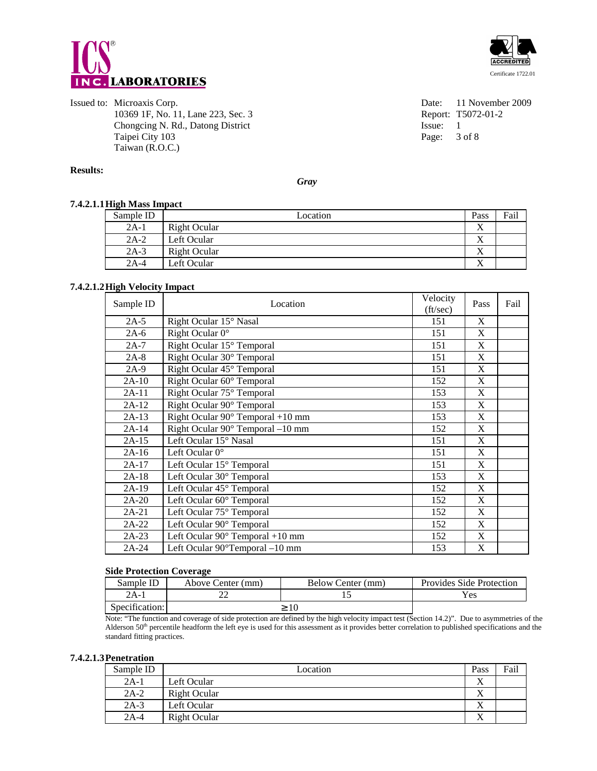



Issued to: Microaxis Corp.<br>
10369 1F, No. 11, Lane 223, Sec. 3<br>
10369 1F, No. 11, Lane 223, Sec. 3<br>
10369 1F, No. 11, Lane 223, Sec. 3 10369 1F, No. 11, Lane 223, Sec. 3 Chongcing N. Rd., Datong District Issue: 1 Taipei City 103 Page: 3 of 8 Taiwan (R.O.C.)

#### **Results:**

*Gray* 

# **7.4.2.1.1 High Mass Impact**

| Sample ID | Location     | Pass      | Fail |
|-----------|--------------|-----------|------|
| $2A-1$    | Right Ocular | $\Lambda$ |      |
| $2A-2$    | Left Ocular  | $\Lambda$ |      |
| $2A-3$    | Right Ocular | Λ         |      |
| $2A-4$    | Left Ocular  | xx        |      |

#### **7.4.2.1.2 High Velocity Impact**

| Sample ID | Location                                   | Velocity<br>(ft/sec) | Pass | Fail |
|-----------|--------------------------------------------|----------------------|------|------|
| $2A-5$    | Right Ocular 15° Nasal                     | 151                  | X    |      |
| $2A-6$    | Right Ocular $0^{\circ}$                   | 151                  | X    |      |
| $2A-7$    | Right Ocular 15° Temporal                  | 151                  | X    |      |
| $2A-8$    | Right Ocular 30° Temporal                  | 151                  | X    |      |
| $2A-9$    | Right Ocular 45° Temporal                  | 151                  | X    |      |
| $2A-10$   | Right Ocular 60° Temporal                  | 152                  | X    |      |
| 2A-11     | Right Ocular 75° Temporal                  | 153                  | X    |      |
| $2A-12$   | Right Ocular 90° Temporal                  | 153                  | X    |      |
| $2A-13$   | Right Ocular $90^\circ$ Temporal +10 mm    | 153                  | X    |      |
| $2A-14$   | Right Ocular 90° Temporal -10 mm           | 152                  | X    |      |
| $2A-15$   | Left Ocular 15° Nasal                      | 151                  | X    |      |
| $2A-16$   | Left Ocular 0°                             | 151                  | X    |      |
| $2A-17$   | Left Ocular 15° Temporal                   | 151                  | X    |      |
| $2A-18$   | Left Ocular 30° Temporal                   | 153                  | X    |      |
| $2A-19$   | Left Ocular 45° Temporal                   | 152                  | X    |      |
| $2A-20$   | Left Ocular 60° Temporal                   | 152                  | X    |      |
| $2A-21$   | Left Ocular 75° Temporal                   | 152                  | X    |      |
| $2A-22$   | Left Ocular 90° Temporal                   | 152                  | X    |      |
| $2A-23$   | Left Ocular $90^\circ$ Temporal +10 mm     | 152                  | X    |      |
| 2A-24     | Left Ocular $90^{\circ}$ Temporal $-10$ mm | 153                  | X    |      |

#### **Side Protection Coverage**

| Sample ID      | Above Center (mm) | Below Center (mm) | <b>Provides Side Protection</b> |
|----------------|-------------------|-------------------|---------------------------------|
| 2A-1           |                   |                   | Yes                             |
| Specification: |                   |                   |                                 |

Note: "The function and coverage of side protection are defined by the high velocity impact test (Section 14.2)". Due to asymmetries of the Alderson  $50<sup>th</sup>$  percentile headform the left eye is used for this assessment as it provides better correlation to published specifications and the standard fitting practices.

#### **7.4.2.1.3 Penetration**

| Sample ID | Location     | Pass              | Fail |
|-----------|--------------|-------------------|------|
| $2A-1$    | Left Ocular  | $\Lambda$         |      |
| $2A-2$    | Right Ocular | $\Lambda$         |      |
| $2A-3$    | Left Ocular  | △                 |      |
| $2A-4$    | Right Ocular | $\mathbf{v}$<br>Λ |      |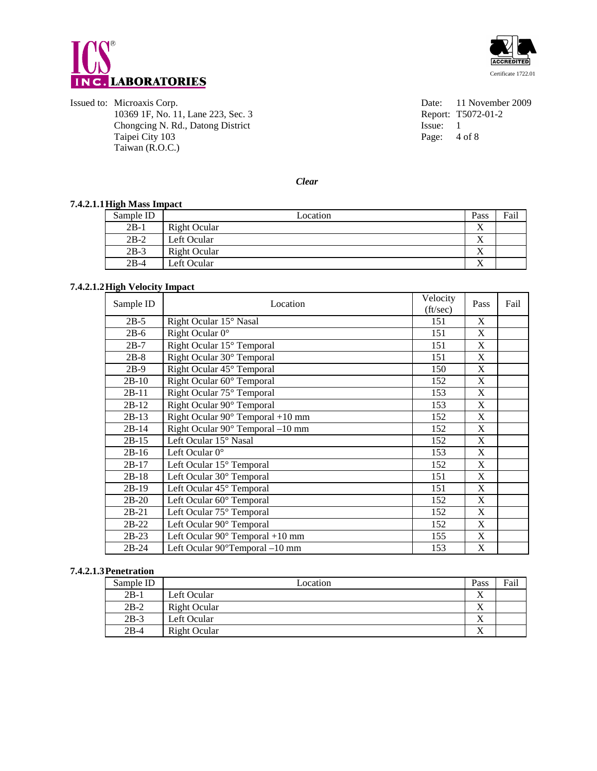



Issued to: Microaxis Corp.<br>
10369 1F, No. 11, Lane 223, Sec. 3<br>
10369 1F, No. 11, Lane 223, Sec. 3<br>
10369 1F, No. 11, Lane 223, Sec. 3 10369 1F, No. 11, Lane 223, Sec. 3 Report: T<br>
Chongcing N. Rd., Datong District Issue: 1 Chongcing N. Rd., Datong District Taipei City 103 Page: 4 of 8 Taiwan (R.O.C.)

*Clear* 

#### **7.4.2.1.1 High Mass Impact**

| $\overline{\phantom{a}}$<br>Sample ID | Location     | Pass              | Fail |
|---------------------------------------|--------------|-------------------|------|
| $2B-1$                                | Right Ocular | ∡                 |      |
| $2B-2$                                | Left Ocular  | $\mathbf{v}$<br>∡ |      |
| $2B-3$                                | Right Ocular |                   |      |
| $2B-4$                                | Left Ocular  | $\Lambda$         |      |

## **7.4.2.1.2 High Velocity Impact**

| Sample ID | Location                                   | Velocity<br>(ft/sec) | Pass         | Fail |
|-----------|--------------------------------------------|----------------------|--------------|------|
| $2B-5$    | Right Ocular 15° Nasal                     | 151                  | X            |      |
| $2B-6$    | Right Ocular $0^{\circ}$                   | 151                  | X            |      |
| $2B-7$    | Right Ocular 15° Temporal                  | 151                  | X            |      |
| $2B-8$    | Right Ocular 30° Temporal                  | 151                  | X            |      |
| $2B-9$    | Right Ocular 45° Temporal                  | 150                  | X            |      |
| $2B-10$   | Right Ocular 60° Temporal                  | 152                  | X            |      |
| $2B-11$   | Right Ocular 75° Temporal                  | 153                  | X            |      |
| $2B-12$   | Right Ocular 90° Temporal                  | 153                  | X            |      |
| $2B-13$   | Right Ocular $90^\circ$ Temporal +10 mm    | 152                  | X            |      |
| $2B-14$   | Right Ocular 90° Temporal -10 mm           | 152                  | X            |      |
| $2B-15$   | Left Ocular 15° Nasal                      | 152                  | $\mathbf{X}$ |      |
| $2B-16$   | Left Ocular $0^\circ$                      | 153                  | X            |      |
| $2B-17$   | Left Ocular 15° Temporal                   | 152                  | X            |      |
| $2B-18$   | Left Ocular 30° Temporal                   | 151                  | X            |      |
| $2B-19$   | Left Ocular 45° Temporal                   | 151                  | X            |      |
| $2B-20$   | Left Ocular 60° Temporal                   | 152                  | X            |      |
| $2B-21$   | Left Ocular 75° Temporal                   | 152                  | X            |      |
| $2B-22$   | Left Ocular 90° Temporal                   | 152                  | X            |      |
| $2B-23$   | Left Ocular $90^\circ$ Temporal +10 mm     | 155                  | X            |      |
| $2B-24$   | Left Ocular $90^{\circ}$ Temporal $-10$ mm | 153                  | X            |      |

#### **7.4.2.1.3 Penetration**

| Sample ID | Location            | Pass              | Fail |
|-----------|---------------------|-------------------|------|
| $2B-1$    | Left Ocular         | $\Lambda$         |      |
| $2B-2$    | <b>Right Ocular</b> | $\mathbf{v}$<br>△ |      |
| $2B-3$    | Left Ocular         | ∡                 |      |
| $2B-4$    | <b>Right Ocular</b> | ∡                 |      |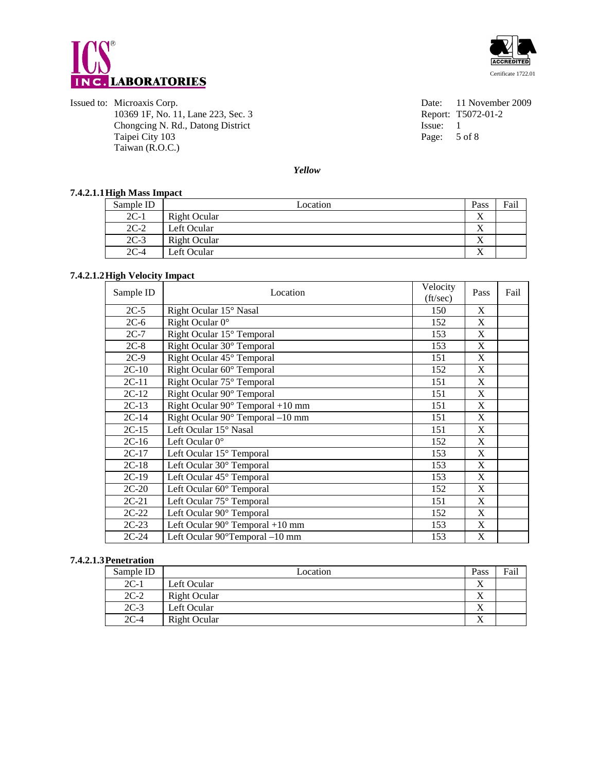



Issued to: Microaxis Corp.<br>
10369 1F, No. 11, Lane 223, Sec. 3<br>
10369 1F, No. 11, Lane 223, Sec. 3<br>
10369 1F, No. 11, Lane 223, Sec. 3 10369 1F, No. 11, Lane 223, Sec. 3 Report: T:<br>
Chongcing N. Rd., Datong District Issue: 1 Chongcing N. Rd., Datong District Taipei City 103 Page: 5 of 8 Taiwan (R.O.C.)

*Yellow* 

## **7.4.2.1.1 High Mass Impact**

| Sample ID | Location     | Pass            | Fail |
|-----------|--------------|-----------------|------|
| $2C-1$    | Right Ocular |                 |      |
| $2C-2$    | Left Ocular  | $\Lambda$       |      |
| $2C-3$    | Right Ocular | x,<br>$\lambda$ |      |
| $2C-4$    | Left Ocular  | v.              |      |

#### **7.4.2.1.2 High Velocity Impact**

| Sample ID | Location                                   | Velocity<br>(ft/sec) | Pass         | Fail |
|-----------|--------------------------------------------|----------------------|--------------|------|
| $2C-5$    | Right Ocular 15° Nasal                     | 150                  | X            |      |
| $2C-6$    | Right Ocular 0°                            | 152                  | X            |      |
| $2C-7$    | Right Ocular 15° Temporal                  | 153                  | X            |      |
| $2C-8$    | Right Ocular 30° Temporal                  | 153                  | X            |      |
| $2C-9$    | Right Ocular 45° Temporal                  | 151                  | X            |      |
| $2C-10$   | Right Ocular 60° Temporal                  | 152                  | X            |      |
| $2C-11$   | Right Ocular 75° Temporal                  | 151                  | $\mathbf{X}$ |      |
| $2C-12$   | Right Ocular 90° Temporal                  | 151                  | X            |      |
| $2C-13$   | Right Ocular $90^\circ$ Temporal +10 mm    | 151                  | X            |      |
| $2C-14$   | Right Ocular 90° Temporal -10 mm           | 151                  | X            |      |
| $2C-15$   | Left Ocular 15° Nasal                      | 151                  | X            |      |
| $2C-16$   | Left Ocular 0°                             | 152                  | X            |      |
| $2C-17$   | Left Ocular 15° Temporal                   | 153                  | X            |      |
| $2C-18$   | Left Ocular 30° Temporal                   | 153                  | X            |      |
| $2C-19$   | Left Ocular 45° Temporal                   | 153                  | X            |      |
| $2C-20$   | Left Ocular 60° Temporal                   | 152                  | X            |      |
| $2C-21$   | Left Ocular 75° Temporal                   | 151                  | X            |      |
| $2C-22$   | Left Ocular 90° Temporal                   | 152                  | $\mathbf{X}$ |      |
| $2C-23$   | Left Ocular 90° Temporal +10 mm            | 153                  | X            |      |
| $2C-24$   | Left Ocular $90^{\circ}$ Temporal $-10$ mm | 153                  | X            |      |

#### **7.4.2.1.3 Penetration**

| Sample ID | Location            | Pass         | Fail |
|-----------|---------------------|--------------|------|
| $2C-1$    | Left Ocular         | $\mathbf{v}$ |      |
| $2C-2$    | Right Ocular        | $\Lambda$    |      |
| $2C-3$    | Left Ocular         | Δ            |      |
| $2C-4$    | <b>Right Ocular</b> | $\mathbf{v}$ |      |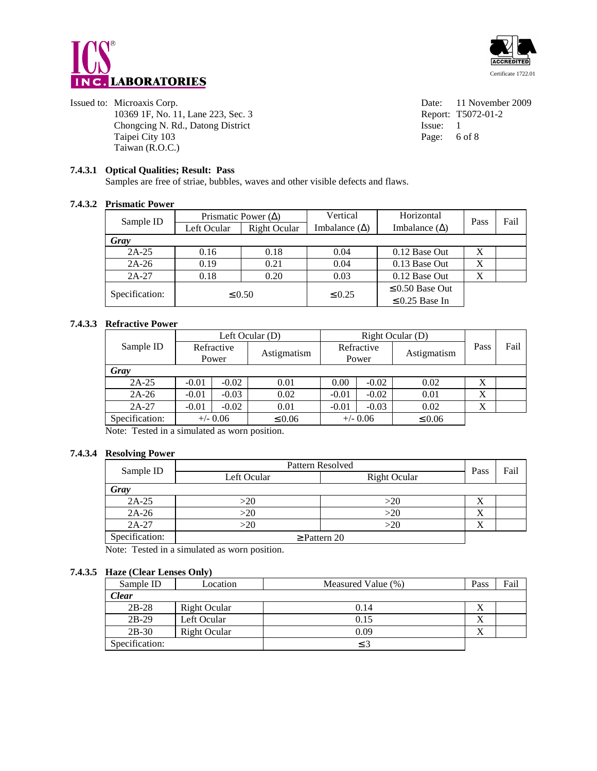



#### Issued to: Microaxis Corp.<br>
10369 1F, No. 11, Lane 223, Sec. 3<br>
10369 1F, No. 11, Lane 223, Sec. 3<br>
10369 1F, No. 11, Lane 223, Sec. 3 10369 1F, No. 11, Lane 223, Sec. 3 Chongcing N. Rd., Datong District Issue: 1 Taipei City 103 Page: 6 of 8 Taiwan (R.O.C.)

# **7.4.3.1 Optical Qualities; Result: Pass**

Samples are free of striae, bubbles, waves and other visible defects and flaws.

#### **7.4.3.2 Prismatic Power**

| Sample ID      | Prismatic Power $(\Delta)$ |                                                                     | Vertical    | Horizontal           | Pass | Fail |
|----------------|----------------------------|---------------------------------------------------------------------|-------------|----------------------|------|------|
|                | Left Ocular                | Imbalance $(\Delta)$<br>Imbalance $(\Delta)$<br><b>Right Ocular</b> |             |                      |      |      |
| Gray           |                            |                                                                     |             |                      |      |      |
| $2A-25$        | 0.16                       | 0.18                                                                | 0.04        | 0.12 Base Out        | X    |      |
| $2A-26$        | 0.19                       | 0.21                                                                | 0.04        | 0.13 Base Out        | X    |      |
| $2A-27$        | 0.18                       | 0.20                                                                | 0.03        | 0.12 Base Out        | X    |      |
|                | $\leq 0.50$                |                                                                     |             | $\leq 0.50$ Base Out |      |      |
| Specification: |                            |                                                                     | $\leq 0.25$ | $\leq$ 0.25 Base In  |      |      |

#### **7.4.3.3 Refractive Power**

|                | Left Ocular $(D)$ |            | Right Ocular (D) |         |            |             |      |      |
|----------------|-------------------|------------|------------------|---------|------------|-------------|------|------|
| Sample ID      |                   | Refractive | Astigmatism      |         | Refractive | Astigmatism | Pass | Fail |
|                |                   | Power      |                  | Power   |            |             |      |      |
| Gray           |                   |            |                  |         |            |             |      |      |
| $2A-25$        | $-0.01$           | $-0.02$    | 0.01             | 0.00    | $-0.02$    | 0.02        |      |      |
| $2A-26$        | $-0.01$           | $-0.03$    | 0.02             | $-0.01$ | $-0.02$    | 0.01        | Х    |      |
| $2A-27$        | $-0.01$           | $-0.02$    | 0.01             | $-0.01$ | $-0.03$    | 0.02        | Х    |      |
| Specification: |                   | $+/-$ 0.06 | $\leq 0.06$      |         | $+/- 0.06$ | $\leq 0.06$ |      |      |

Note: Tested in a simulated as worn position.

#### **7.4.3.4 Resolving Power**

| Sample ID      | Pattern Resolved                   |     |           | Fail |
|----------------|------------------------------------|-----|-----------|------|
|                | Left Ocular<br><b>Right Ocular</b> |     | Pass      |      |
| Gray           |                                    |     |           |      |
| $2A-25$        | >20                                | >20 | Δ         |      |
| $2A-26$        | >20                                | >20 | $\Lambda$ |      |
| $2A-27$        | >20                                | >20 | A         |      |
| Specification: | $\geq$ Pattern 20                  |     |           |      |

Note: Tested in a simulated as worn position.

#### **7.4.3.5 Haze (Clear Lenses Only)**

| Sample ID      | Location     | Measured Value (%) | Pass | Fail |
|----------------|--------------|--------------------|------|------|
| <b>Clear</b>   |              |                    |      |      |
| $2B-28$        | Right Ocular | 0.14               | л    |      |
| $2B-29$        | Left Ocular  | 0.15               | Х    |      |
| $2B-30$        | Right Ocular | 0.09               | Χ    |      |
| Specification: |              | $\leq$ 3           |      |      |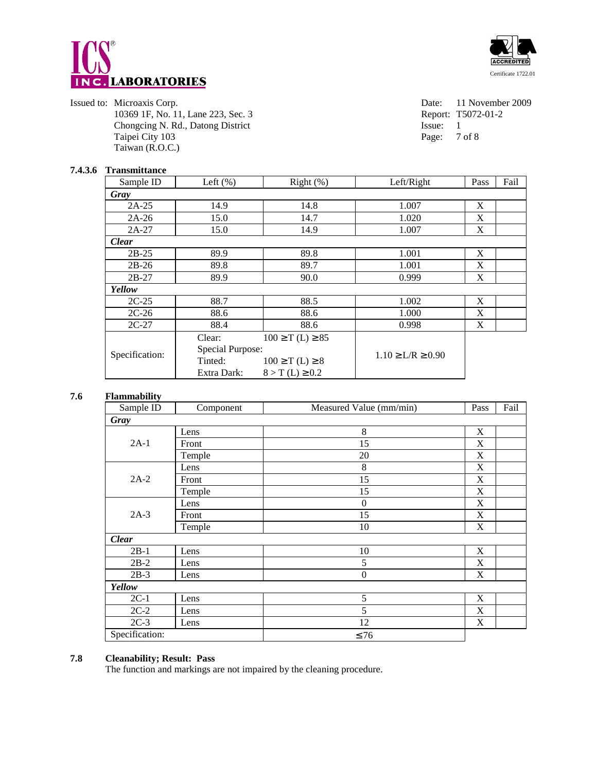



Issued to: Microaxis Corp.<br>
10369 1F, No. 11, Lane 223, Sec. 3<br>
10369 1F, No. 11, Lane 223, Sec. 3<br>
10369 1F, No. 11, Lane 223, Sec. 3 10369 1F, No. 11, Lane 223, Sec. 3 Chongcing N. Rd., Datong District Issue: 1 Taipei City 103 Page: 7 of 8 Taiwan (R.O.C.)

# **7.4.3.6 Transmittance**

| Sample ID      | Left $(\%)$             | Right $(\%)$          | Left/Right              | Pass | Fail |
|----------------|-------------------------|-----------------------|-------------------------|------|------|
| Gray           |                         |                       |                         |      |      |
| $2A-25$        | 14.9                    | 14.8                  | 1.007                   | X    |      |
| $2A-26$        | 15.0                    | 14.7                  | 1.020                   | X    |      |
| $2A-27$        | 15.0                    | 14.9                  | 1.007                   | X    |      |
| <b>Clear</b>   |                         |                       |                         |      |      |
| $2B-25$        | 89.9                    | 89.8                  | 1.001                   | X    |      |
| $2B-26$        | 89.8                    | 89.7                  | 1.001                   | X    |      |
| $2B-27$        | 89.9                    | 90.0                  | 0.999                   | X    |      |
| Yellow         |                         |                       |                         |      |      |
| $2C-25$        | 88.7                    | 88.5                  | 1.002                   | X    |      |
| $2C-26$        | 88.6                    | 88.6                  | 1.000                   | X    |      |
| $2C-27$        | 88.4                    | 88.6                  | 0.998                   | X    |      |
| Specification: | Clear:                  | $100 \ge T(L) \ge 85$ |                         |      |      |
|                | <b>Special Purpose:</b> |                       |                         |      |      |
|                | Tinted:                 | $100 \ge T(L) \ge 8$  | $1.10 \ge L/R \ge 0.90$ |      |      |
|                | Extra Dark:             | $8 > T(L) \ge 0.2$    |                         |      |      |

#### **7.6 Flammability**

| Sample ID      | Component | Measured Value (mm/min) | Pass                                                                                                                                                              | Fail |  |  |
|----------------|-----------|-------------------------|-------------------------------------------------------------------------------------------------------------------------------------------------------------------|------|--|--|
| Gray           |           |                         |                                                                                                                                                                   |      |  |  |
|                | Lens      | 8                       | X                                                                                                                                                                 |      |  |  |
| $2A-1$         | Front     | 15                      | X                                                                                                                                                                 |      |  |  |
|                | Temple    | 20                      | $\mathbf X$<br>X<br>$\mathbf X$<br>$\mathbf X$<br>X<br>$\mathbf X$<br>$\mathbf X$<br>$\mathbf X$<br>$\mathbf X$<br>$\mathbf X$<br>X<br>$\mathbf X$<br>$\mathbf X$ |      |  |  |
|                | Lens      | 8                       |                                                                                                                                                                   |      |  |  |
| $2A-2$         | Front     | 15                      |                                                                                                                                                                   |      |  |  |
|                | Temple    | 15                      |                                                                                                                                                                   |      |  |  |
|                | Lens      | $\mathbf{0}$            |                                                                                                                                                                   |      |  |  |
| $2A-3$         | Front     | 15                      |                                                                                                                                                                   |      |  |  |
|                | Temple    | 10                      |                                                                                                                                                                   |      |  |  |
| <b>Clear</b>   |           |                         |                                                                                                                                                                   |      |  |  |
| $2B-1$         | Lens      | 10                      |                                                                                                                                                                   |      |  |  |
| $2B-2$         | Lens      | 5                       |                                                                                                                                                                   |      |  |  |
| $2B-3$         | Lens      | $\boldsymbol{0}$        |                                                                                                                                                                   |      |  |  |
| Yellow         |           |                         |                                                                                                                                                                   |      |  |  |
| $2C-1$         | Lens      | 5                       |                                                                                                                                                                   |      |  |  |
| $2C-2$         | Lens      | 5                       |                                                                                                                                                                   |      |  |  |
| $2C-3$         | Lens      | 12                      |                                                                                                                                                                   |      |  |  |
| Specification: |           | $\leq 76$               |                                                                                                                                                                   |      |  |  |

# **7.8 Cleanability; Result: Pass**

The function and markings are not impaired by the cleaning procedure.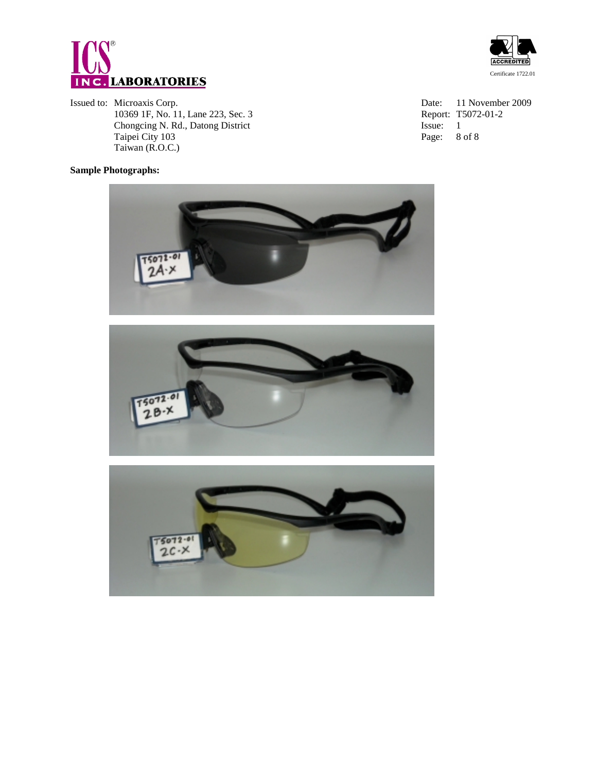

Issued to: Microaxis Corp.<br>
10369 1F, No. 11, Lane 223, Sec. 3<br>
10369 1F, No. 11, Lane 223, Sec. 3<br>
10369 1F, No. 11, Lane 223, Sec. 3 10369 1F, No. 11, Lane 223, Sec. 3 Report:<br>
Chongcing N. Rd., Datong District Issue: Chongcing N. Rd., Datong District Issue: 1 Taipei City 103 Page: 8 of 8 Taiwan (R.O.C.)

# **Sample Photographs:**